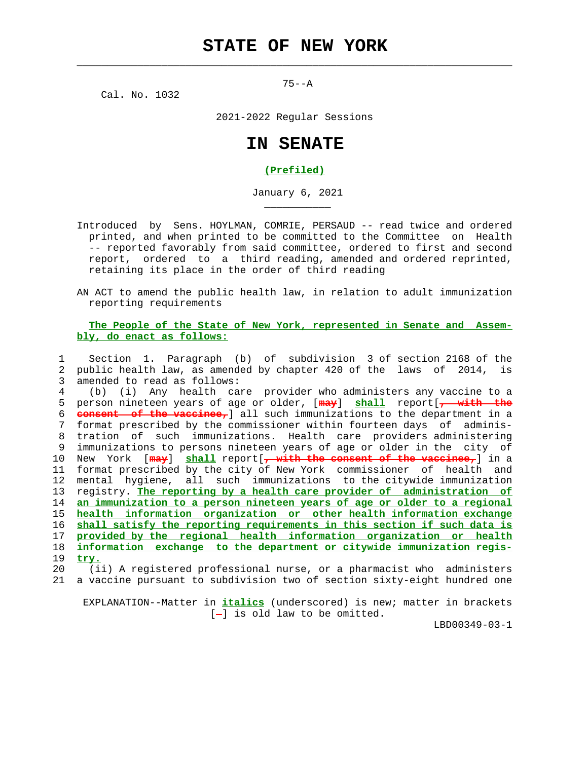$\mathcal{L}_\text{max} = \frac{1}{2} \sum_{i=1}^{n} \frac{1}{2} \sum_{i=1}^{n} \frac{1}{2} \sum_{i=1}^{n} \frac{1}{2} \sum_{i=1}^{n} \frac{1}{2} \sum_{i=1}^{n} \frac{1}{2} \sum_{i=1}^{n} \frac{1}{2} \sum_{i=1}^{n} \frac{1}{2} \sum_{i=1}^{n} \frac{1}{2} \sum_{i=1}^{n} \frac{1}{2} \sum_{i=1}^{n} \frac{1}{2} \sum_{i=1}^{n} \frac{1}{2} \sum_{i=1}^{n} \frac{1$ 

 $75--A$ 

Cal. No. 1032

\_\_\_\_\_\_\_\_\_\_\_

2021-2022 Regular Sessions

## **IN SENATE**

## **(Prefiled)**

January 6, 2021

 Introduced by Sens. HOYLMAN, COMRIE, PERSAUD -- read twice and ordered printed, and when printed to be committed to the Committee on Health -- reported favorably from said committee, ordered to first and second report, ordered to a third reading, amended and ordered reprinted, retaining its place in the order of third reading

 AN ACT to amend the public health law, in relation to adult immunization reporting requirements

## **The People of the State of New York, represented in Senate and Assem bly, do enact as follows:**

 1 Section 1. Paragraph (b) of subdivision 3 of section 2168 of the 2 public health law, as amended by chapter 420 of the laws of 2014, is 3 amended to read as follows: 4 (b) (i) Any health care provider who administers any vaccine to a

 5 person nineteen years of age or older, [**may**] **shall** report[**, with the** 6 **consent of the vaccinee,**] all such immunizations to the department in a 7 format prescribed by the commissioner within fourteen days of adminis- 8 tration of such immunizations. Health care providers administering 9 immunizations to persons nineteen years of age or older in the city of 10 New York [**may**] **shall** report[**, with the consent of the vaccinee,**] in a 11 format prescribed by the city of New York commissioner of health and 12 mental hygiene, all such immunizations to the citywide immunization 13 registry. **The reporting by a health care provider of administration of** 14 **an immunization to a person nineteen years of age or older to a regional** 15 **health information organization or other health information exchange** 16 **shall satisfy the reporting requirements in this section if such data is** 17 **provided by the regional health information organization or health** 18 **information exchange to the department or citywide immunization regis-** 19 **try.**

 20 (ii) A registered professional nurse, or a pharmacist who administers 21 a vaccine pursuant to subdivision two of section sixty-eight hundred one

 EXPLANATION--Matter in **italics** (underscored) is new; matter in brackets [-] is old law to be omitted.

LBD00349-03-1